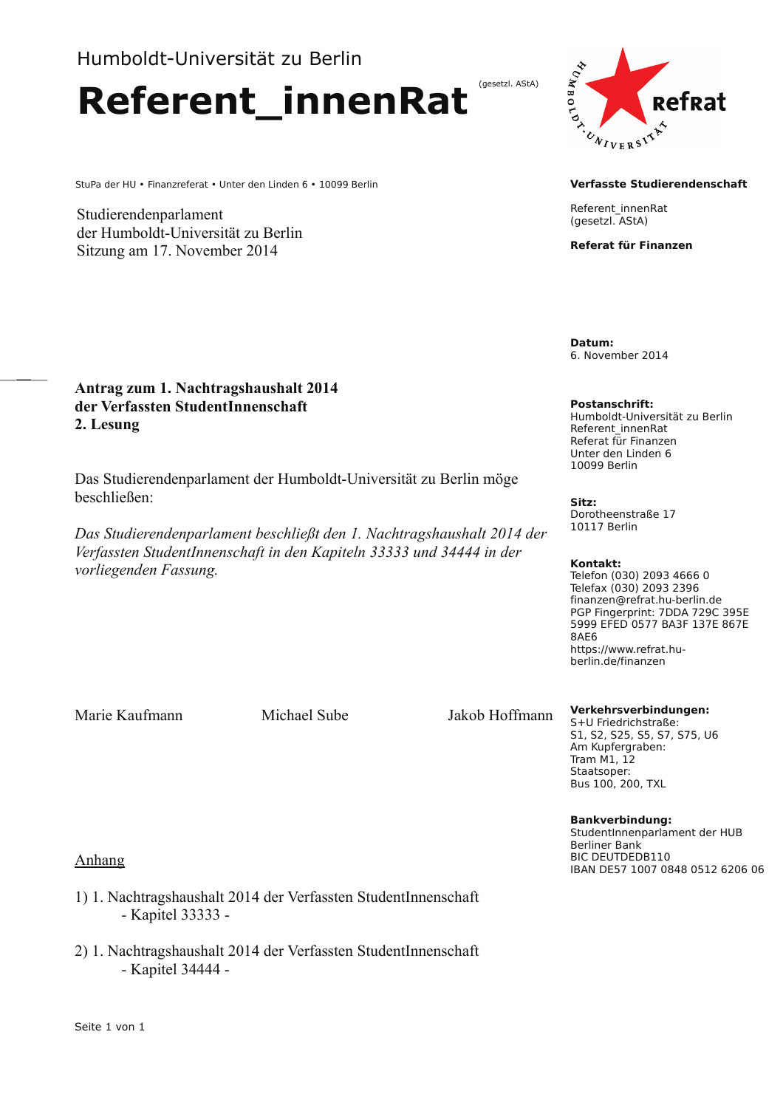# Humboldt-Universität zu Berlin

**Referent innenRat** 

StuPa der HU · Finanzreferat · Unter den Linden 6 · 10099 Berlin

Studierendenparlament der Humboldt-Universität zu Berlin Sitzung am 17. November 2014



#### **Verfasste Studierendenschaft**

Referent innenRat (gesetzl. AStA)

(gesetzl. AStA)

Referat für Finanzen

Datum: 6. November 2014

## Antrag zum 1. Nachtragshaushalt 2014 der Verfassten StudentInnenschaft 2. Lesung

Das Studierendenparlament der Humboldt-Universität zu Berlin möge beschließen<sup>.</sup>

Das Studierendenparlament beschließt den 1. Nachtragshaushalt 2014 der Verfassten StudentInnenschaft in den Kapiteln 33333 und 34444 in der vorliegenden Fassung.

#### **Postanschrift:**

Humboldt-Universität zu Berlin Referent innenRat Referat für Finanzen Unter den Linden 6 10099 Berlin

Sitz: Dorotheenstraße 17 10117 Berlin

#### Kontakt:

Telefon (030) 2093 4666 0 Telefax (030) 2093 2396 finanzen@refrat.hu-berlin.de PGP Fingerprint: 7DDA 729C 395E 5999 EFED 0577 BA3F 137E 867E  $84F6$ https://www.refrat.huberlin.de/finanzen

Marie Kaufmann

Michael Sube

Jakob Hoffmann

#### Verkehrsverbindungen:

S+U Friedrichstraße: S1, S2, S25, S5, S7, S75, U6 Am Kupfergraben: **Tram M1 12** Staatsoper: **Bus 100, 200, TXL** 

#### **Bankverbindung:**

StudentInnenparlament der HUB Berliner Bank BIC DEUTDEDB110 IBAN DE57 1007 0848 0512 6206 06

#### Anhang

- 1) 1. Nachtragshaushalt 2014 der Verfassten StudentInnenschaft - Kapitel 33333 -
- 2) 1. Nachtragshaushalt 2014 der Verfassten StudentInnenschaft - Kapitel 34444 -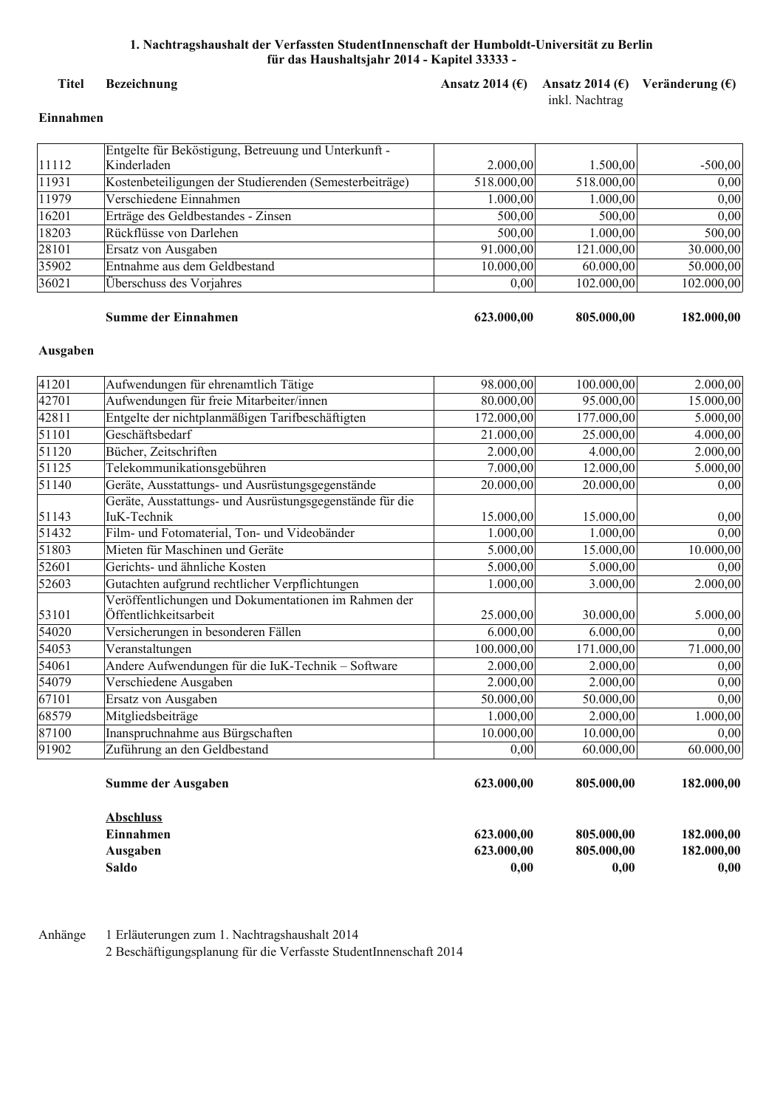#### **Titel** Bezeichnung

## Ansatz 2014 ( $\epsilon$ ) Ansatz 2014 ( $\epsilon$ ) Veränderung ( $\epsilon$ )

#### inkl. Nachtrag

### Einnahmen

|       | Entgelte für Beköstigung, Betreuung und Unterkunft -    |            |            |            |
|-------|---------------------------------------------------------|------------|------------|------------|
| 11112 | Kinderladen                                             | 2.000,00   | 1.500,00   | $-500,00$  |
| 11931 | Kostenbeteiligungen der Studierenden (Semesterbeiträge) | 518.000,00 | 518.000,00 | 0,00       |
| 11979 | Verschiedene Einnahmen                                  | 1.000,00   | 1.000,00   | 0,00       |
| 16201 | Erträge des Geldbestandes - Zinsen                      | 500,00     | 500,00     | 0,00       |
| 18203 | Rückflüsse von Darlehen                                 | 500,00     | 1.000.00   | 500,00     |
| 28101 | Ersatz von Ausgaben                                     | 91.000,00  | 121.000,00 | 30.000,00  |
| 35902 | Entnahme aus dem Geldbestand                            | 10.000,00  | 60.000,00  | 50.000,00  |
| 36021 | Überschuss des Vorjahres                                | 0,00       | 102.000,00 | 102.000,00 |

#### Summe der Einnahmen

### 623.000,00

805.000,00

182.000,00

#### Ausgaben

|       | Summe der Ausgaben                                                            | 623.000,00 | 805.000,00 | 182.000,00             |
|-------|-------------------------------------------------------------------------------|------------|------------|------------------------|
| 91902 | Zuführung an den Geldbestand                                                  | 0,00       | 60.000,00  | 60.000,00              |
| 87100 | Inanspruchnahme aus Bürgschaften                                              | 10.000,00  | 10.000,00  | 0,00                   |
| 68579 | Mitgliedsbeiträge                                                             | 1.000,00   | 2.000,00   | 1.000,00               |
| 67101 | Ersatz von Ausgaben                                                           | 50.000,00  | 50.000,00  | 0,00                   |
| 54079 | Verschiedene Ausgaben                                                         | 2.000,00   | 2.000,00   | 0,00                   |
| 54061 | Andere Aufwendungen für die IuK-Technik - Software                            | 2.000,00   | 2.000,00   | 0,00                   |
| 54053 | Veranstaltungen                                                               | 100.000,00 | 171.000,00 | 71.000,00              |
| 54020 | Versicherungen in besonderen Fällen                                           | 6.000,00   | 6.000,00   | 0,00                   |
| 53101 | Veröffentlichungen und Dokumentationen im Rahmen der<br>Öffentlichkeitsarbeit | 25.000,00  | 30.000,00  | 5.000,00               |
| 52603 | Gutachten aufgrund rechtlicher Verpflichtungen                                | 1.000,00   | 3.000,00   | 2.000,00               |
| 52601 | Gerichts- und ähnliche Kosten                                                 | 5.000,00   | 5.000,00   | 0,00                   |
| 51803 | Mieten für Maschinen und Geräte                                               | 5.000,00   | 15.000,00  | $\overline{10.000,00}$ |
| 51432 | Film- und Fotomaterial, Ton- und Videobänder                                  | 1.000,00   | 1.000,00   | 0,00                   |
| 51143 | Geräte, Ausstattungs- und Ausrüstungsgegenstände für die<br>IuK-Technik       | 15.000,00  | 15.000,00  | 0,00                   |
| 51140 | Geräte, Ausstattungs- und Ausrüstungsgegenstände                              | 20.000,00  | 20.000,00  | 0,00                   |
| 51125 | Telekommunikationsgebühren                                                    | 7.000,00   | 12.000,00  | 5.000,00               |
| 51120 | Bücher, Zeitschriften                                                         | 2.000,00   | 4.000,00   | 2.000,00               |
| 51101 | Geschäftsbedarf                                                               | 21.000,00  | 25.000,00  | 4.000,00               |
| 42811 | Entgelte der nichtplanmäßigen Tarifbeschäftigten                              | 172.000,00 | 177.000,00 | 5.000,00               |
| 42701 | Aufwendungen für freie Mitarbeiter/innen                                      | 80.000,00  | 95.000,00  | 15.000,00              |
| 41201 | Aufwendungen für ehrenamtlich Tätige                                          | 98.000,00  | 100.000,00 | 2.000,00               |

| <b>Abschluss</b> |            |            |            |
|------------------|------------|------------|------------|
| Einnahmen        | 623.000.00 | 805.000,00 | 182.000,00 |
| Ausgaben         | 623.000.00 | 805.000,00 | 182.000,00 |
| Saldo            | 0.00       | 0.00       | 0,00       |

1 Erläuterungen zum 1. Nachtragshaushalt 2014 Anhänge

2 Beschäftigungsplanung für die Verfasste StudentInnenschaft 2014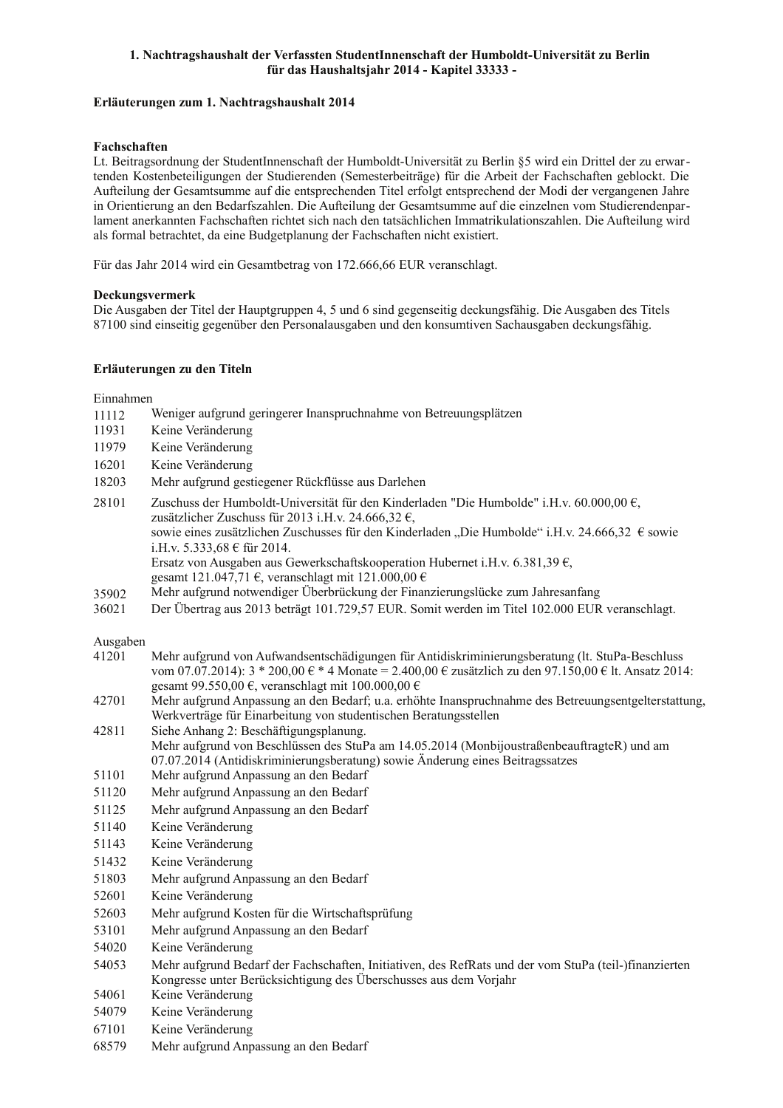#### Erläuterungen zum 1. Nachtragshaushalt 2014

#### Fachschaften

Lt. Beitragsordnung der StudentInnenschaft der Humboldt-Universität zu Berlin §5 wird ein Drittel der zu erwartenden Kostenbeteiligungen der Studierenden (Semesterbeiträge) für die Arbeit der Fachschaften geblockt. Die Aufteilung der Gesamtsumme auf die entsprechenden Titel erfolgt entsprechend der Modi der vergangenen Jahre in Orientierung an den Bedarfszahlen. Die Aufteilung der Gesamtsumme auf die einzelnen vom Studierendenparlament anerkannten Fachschaften richtet sich nach den tatsächlichen Immatrikulationszahlen. Die Aufteilung wird als formal betrachtet, da eine Budgetplanung der Fachschaften nicht existiert.

Für das Jahr 2014 wird ein Gesamtbetrag von 172.666,66 EUR veranschlagt.

#### Deckungsvermerk

Die Ausgaben der Titel der Hauptgruppen 4, 5 und 6 sind gegenseitig deckungsfähig. Die Ausgaben des Titels 87100 sind einseitig gegenüber den Personalausgaben und den konsumtiven Sachausgaben deckungsfähig.

#### Erläuterungen zu den Titeln

#### Einnahmen

- Weniger aufgrund geringerer Inanspruchnahme von Betreuungsplätzen 11112
- 11931 Keine Veränderung
- 11979 Keine Veränderung
- 16201 Keine Veränderung
- 18203 Mehr aufgrund gestiegener Rückflüsse aus Darlehen
- 28101 Zuschuss der Humboldt-Universität für den Kinderladen "Die Humbolde" i.H.v. 60.000.00 €. zusätzlicher Zuschuss für 2013 i.H.v. 24.666,32 €, sowie eines zusätzlichen Zuschusses für den Kinderladen "Die Humbolde" i.H.v. 24.666,32 € sowie  $i H v 5 333 68 \text{ f}$  für 2014 Ersatz von Ausgaben aus Gewerkschaftskooperation Hubernet i.H.v. 6.381.39  $\epsilon$ . gesamt 121.047,71 €, veranschlagt mit 121.000,00 € Mehr aufgrund notwendiger Überbrückung der Finanzierungslücke zum Jahresanfang 35902
- Der Übertrag aus 2013 beträgt 101.729.57 EUR. Somit werden im Titel 102.000 EUR veranschlagt. 36021

#### Ausgaben

- Mehr aufgrund von Aufwandsentschädigungen für Antidiskriminierungsberatung (It. StuPa-Beschluss 41201 vom 07.07.2014):  $3 * 200,00 \in 4$  Monate = 2.400,00  $\in$  zusätzlich zu den 97.150,00  $\in$  lt. Ansatz 2014: gesamt 99.550,00 €, veranschlagt mit 100.000,00 €
- 42701 Mehr aufgrund Anpassung an den Bedarf; u.a. erhöhte Inanspruchnahme des Betreuungsentgelterstattung, Werkverträge für Einarbeitung von studentischen Beratungsstellen
- 42811 Siehe Anhang 2: Beschäftigungsplanung.
- Mehr aufgrund von Beschlüssen des StuPa am 14.05.2014 (MonbijoustraßenbeauftragteR) und am 07.07.2014 (Antidiskriminierungsberatung) sowie Änderung eines Beitragssatzes
- 51101 Mehr aufgrund Anpassung an den Bedarf
- 51120 Mehr aufgrund Anpassung an den Bedarf
- 51125 Mehr aufgrund Anpassung an den Bedarf
- 51140 Keine Veränderung
- 51143 Keine Veränderung
- 51432 Keine Veränderung
- Mehr aufgrund Anpassung an den Bedarf 51803
- 52601 Keine Veränderung
- 52603 Mehr aufgrund Kosten für die Wirtschaftsprüfung
- 53101 Mehr aufgrund Anpassung an den Bedarf
- 54020 Keine Veränderung
- Mehr aufgrund Bedarf der Fachschaften, Initiativen, des RefRats und der vom StuPa (teil-)finanzierten 54053 Kongresse unter Berücksichtigung des Überschusses aus dem Vorjahr
- 54061 Keine Veränderung
- 54079 Keine Veränderung
- 67101 Keine Veränderung
- 68579 Mehr aufgrund Anpassung an den Bedarf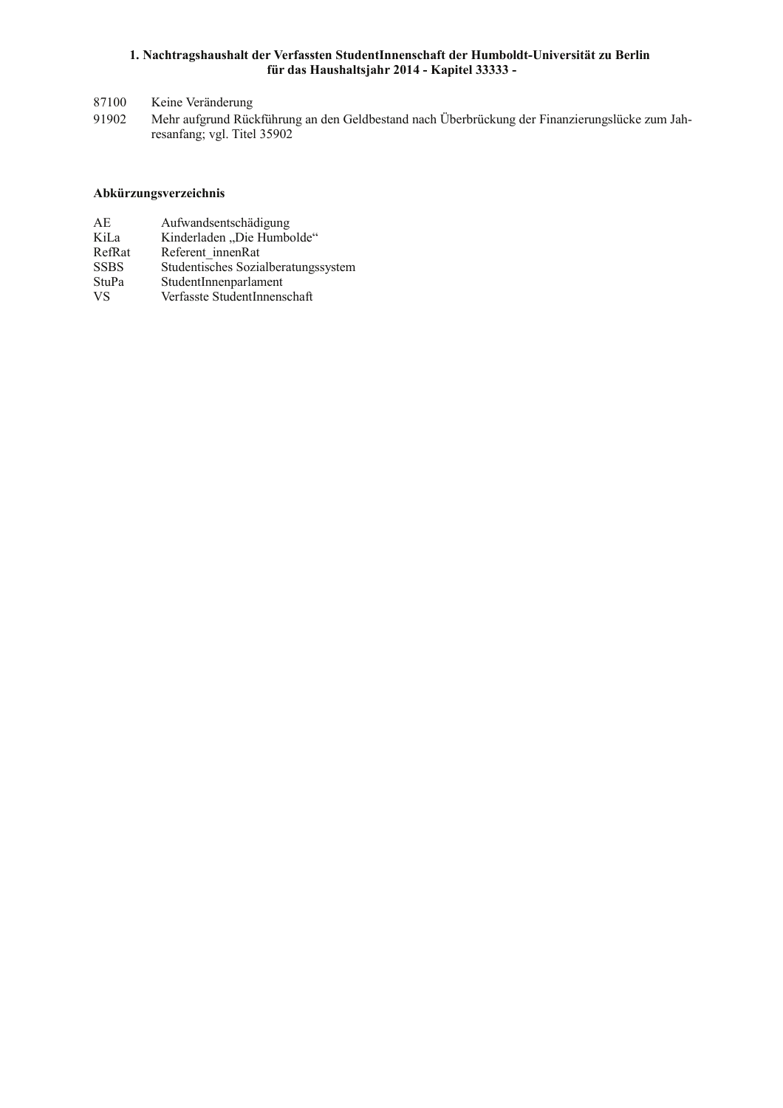87100 Keine Veränderung

91902 Mehr aufgrund Rückführung an den Geldbestand nach Überbrückung der Finanzierungslücke zum Jahresanfang; vgl. Titel 35902

#### Abkürzungsverzeichnis

- $AE$ Aufwandsentschädigung KiLa Kinderladen "Die Humbolde"
- RefRat Referent\_innenRat
- **SSBS** Studentisches Sozialberatungssystem
- StuPa StudentInnenparlament
- **VS** Verfasste StudentInnenschaft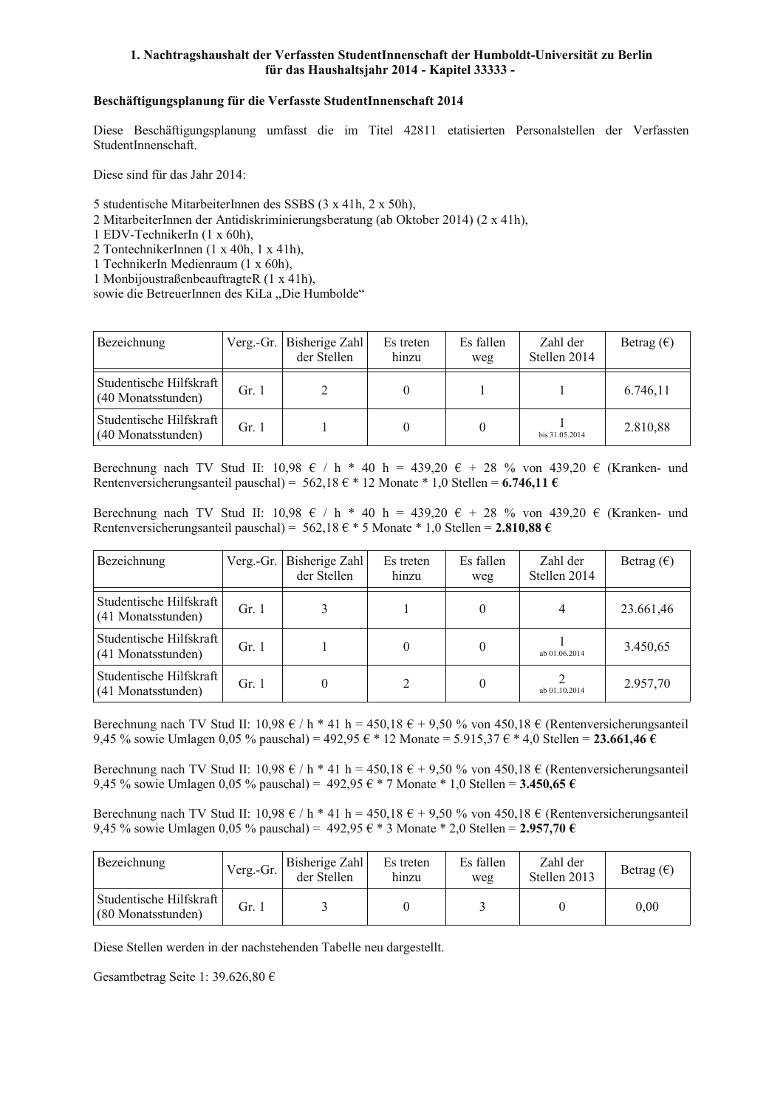#### Beschäftigungsplanung für die Verfasste StudentInnenschaft 2014

Diese Beschäftigungsplanung umfasst die im Titel 42811 etatisierten Personalstellen der Verfassten StudentInnenschaft

Diese sind für das Jahr 2014:

5 studentische MitarbeiterInnen des SSBS (3 x 41h, 2 x 50h),

2 MitarbeiterInnen der Antidiskriminierungsberatung (ab Oktober 2014) (2 x 41h),

1 EDV-TechnikerIn (1 x 60h),

2 TontechnikerInnen (1 x 40h, 1 x 41h),

- 1 TechnikerIn Medienraum (1 x 60h),
- 1 MonbijoustraßenbeauftragteR (1 x 41h),

sowie die BetreuerInnen des KiLa "Die Humbolde"

| Bezeichnung                                   | Verg.-Gr. $\vert$ | Bisherige Zahl<br>der Stellen | Es treten<br>hinzu | Es fallen<br>weg | Zahl der<br>Stellen 2014 | Betrag $(\epsilon)$ |
|-----------------------------------------------|-------------------|-------------------------------|--------------------|------------------|--------------------------|---------------------|
| Studentische Hilfskraft<br>(40 Monatsstunden) | Gr.1              |                               |                    |                  |                          | 6.746,11            |
| Studentische Hilfskraft<br>(40 Monatsstunden) | Gr. 1             |                               |                    |                  | bis 31.05.2014           | 2.810,88            |

Berechnung nach TV Stud II: 10,98  $\epsilon$  / h \* 40 h = 439,20  $\epsilon$  + 28 % von 439,20  $\epsilon$  (Kranken- und Rentenversicherungsanteil pauschal) = 562,18  $\epsilon$  \* 12 Monate \* 1,0 Stellen = 6.746,11  $\epsilon$ 

Berechnung nach TV Stud II: 10.98  $\epsilon$  / h \* 40 h = 439.20  $\epsilon$  + 28 % von 439.20  $\epsilon$  (Kranken- und Rentenversicherungsanteil pauschal) = 562.18  $\epsilon$  \* 5 Monate \* 1.0 Stellen = 2.810.88  $\epsilon$ 

| Bezeichnung                                   | Verg.-Gr. | Bisherige Zahl<br>der Stellen | Es treten<br>hinzu | Es fallen<br>weg | Zahl der<br>Stellen 2014 | Betrag $(\epsilon)$ |
|-----------------------------------------------|-----------|-------------------------------|--------------------|------------------|--------------------------|---------------------|
| Studentische Hilfskraft<br>(41 Monatsstunden) | Gr. $1$   |                               |                    | 0                | 4                        | 23.661,46           |
| Studentische Hilfskraft<br>(41 Monatsstunden) | Gr. $1$   |                               |                    | 0                | ab 01.06.2014            | 3.450,65            |
| Studentische Hilfskraft<br>(41 Monatsstunden) | Gr. 1     |                               |                    | 0                | ab 01.10.2014            | 2.957,70            |

Berechnung nach TV Stud II: 10,98 € / h \* 41 h = 450,18 € + 9,50 % von 450,18 € (Rentenversicherungsanteil 9,45 % sowie Umlagen 0,05 % pauschal) = 492,95  $\epsilon$  \* 12 Monate = 5.915,37  $\epsilon$  \* 4,0 Stellen = 23.661,46  $\epsilon$ 

Berechnung nach TV Stud II: 10,98 € / h \* 41 h = 450,18 € + 9,50 % von 450,18 € (Rentenversicherungsanteil 9,45 % sowie Umlagen 0,05 % pauschal) = 492,95  $\epsilon$  \* 7 Monate \* 1,0 Stellen = 3.450,65  $\epsilon$ 

Berechnung nach TV Stud II: 10,98 € / h \* 41 h = 450,18 € + 9,50 % von 450,18 € (Rentenversicherungsanteil 9,45 % sowie Umlagen 0,05 % pauschal) = 492,95  $\epsilon$  \* 3 Monate \* 2,0 Stellen = 2.957,70  $\epsilon$ 

| Bezeichnung                                   | Verg.-Gr. | Bisherige Zahl<br>der Stellen | Es treten<br>hinzu | Es fallen<br>weg | Zahl der<br>Stellen 2013 | Betrag $(\epsilon)$ |
|-----------------------------------------------|-----------|-------------------------------|--------------------|------------------|--------------------------|---------------------|
| Studentische Hilfskraft<br>(80 Monatsstunden) | Gr.       |                               |                    |                  |                          | 0.00                |

Diese Stellen werden in der nachstehenden Tabelle neu dargestellt.

Gesamtbetrag Seite 1: 39.626,80 €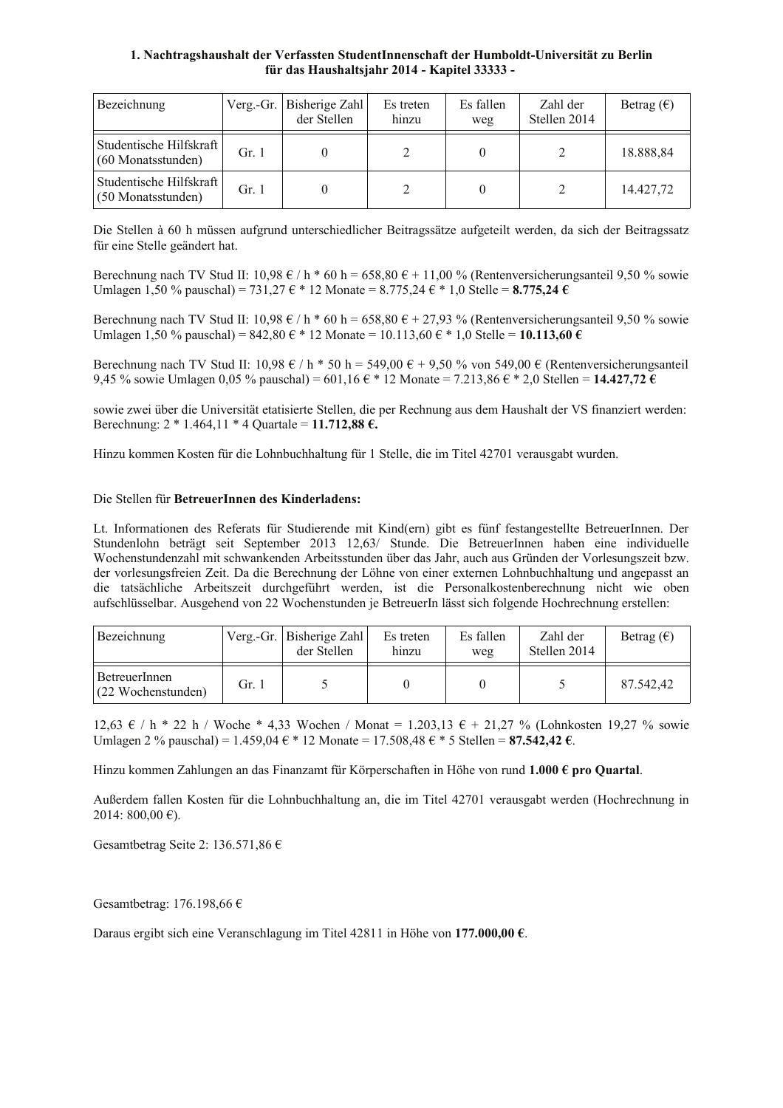| Bezeichnung                                   | Verg.-Gr. $\vert$ | Bisherige Zahl<br>der Stellen | Es treten<br>hinzu | Es fallen<br>weg | Zahl der<br>Stellen 2014 | Betrag $(\epsilon)$ |
|-----------------------------------------------|-------------------|-------------------------------|--------------------|------------------|--------------------------|---------------------|
| Studentische Hilfskraft<br>(60 Monatsstunden) | Gr. 1             |                               |                    |                  |                          | 18.888,84           |
| Studentische Hilfskraft<br>(50 Monatsstunden) | Gr.1              |                               |                    |                  |                          | 14.427.72           |

Die Stellen à 60 h müssen aufgrund unterschiedlicher Beitragssätze aufgeteilt werden, da sich der Beitragssatz für eine Stelle geändert hat.

Berechnung nach TV Stud II: 10,98 € / h \* 60 h = 658,80 € + 11,00 % (Rentenversicherungsanteil 9,50 % sowie Umlagen 1,50 % pauschal) = 731,27 € \* 12 Monate = 8.775,24 € \* 1,0 Stelle = 8.775,24 €

Berechnung nach TV Stud II: 10,98 € / h \* 60 h = 658,80 € + 27,93 % (Rentenversicherungsanteil 9,50 % sowie Umlagen 1,50 % pauschal) =  $842,80 \in 12$  Monate = 10.113,60  $\in 10$  Stelle = 10.113,60  $\in$ 

Berechnung nach TV Stud II: 10,98 € / h \* 50 h = 549,00 € + 9,50 % von 549,00 € (Rentenversicherungsanteil 9,45 % sowie Umlagen 0,05 % pauschal) = 601,16  $\epsilon$  \* 12 Monate = 7.213,86  $\epsilon$  \* 2,0 Stellen = 14.427,72  $\epsilon$ 

sowie zwei über die Universität etatisierte Stellen, die per Rechnung aus dem Haushalt der VS finanziert werden: Berechnung: 2 \* 1.464,11 \* 4 Quartale = 11.712,88  $\epsilon$ .

Hinzu kommen Kosten für die Lohnbuchhaltung für 1 Stelle, die im Titel 42701 verausgabt wurden.

#### Die Stellen für BetreuerInnen des Kinderladens:

Lt. Informationen des Referats für Studierende mit Kind(ern) gibt es fünf festangestellte BetreuerInnen. Der Stundenlohn beträgt seit September 2013 12,63/ Stunde. Die BetreuerInnen haben eine individuelle Wochenstundenzahl mit schwankenden Arbeitsstunden über das Jahr, auch aus Gründen der Vorlesungszeit bzw. der vorlesungsfreien Zeit. Da die Berechnung der Löhne von einer externen Lohnbuchhaltung und angepasst an die tatsächliche Arbeitszeit durchgeführt werden ist die Personalkostenberechnung nicht wie oben aufschlüsselbar. Ausgehend von 22 Wochenstunden ie BetreuerIn lässt sich folgende Hochrechnung erstellen:

| Bezeichnung                         |       | Verg.-Gr. Bisherige Zahl<br>der Stellen | Es treten<br>hinzu | Es fallen<br>weg | Zahl der<br>Stellen 2014 | Betrag $(\epsilon)$ |
|-------------------------------------|-------|-----------------------------------------|--------------------|------------------|--------------------------|---------------------|
| BetreuerInnen<br>(22 Wochenstunden) | Gr. 1 |                                         |                    |                  |                          | 87.542.42           |

12,63 € / h \* 22 h / Woche \* 4,33 Wochen / Monat = 1.203,13 € + 21,27 % (Lohnkosten 19,27 % sowie Umlagen 2 % pauschal) = 1.459,04 € \* 12 Monate = 17.508,48 € \* 5 Stellen = 87.542,42 €.

Hinzu kommen Zahlungen an das Finanzamt für Körperschaften in Höhe von rund 1.000 € pro Quartal.

Außerdem fallen Kosten für die Lohnbuchhaltung an, die im Titel 42701 verausgabt werden (Hochrechnung in 2014: 800.00 €).

Gesamtbetrag Seite 2: 136.571.86  $\epsilon$ 

#### Gesamtbetrag: 176.198,66  $\in$

Daraus ergibt sich eine Veranschlagung im Titel 42811 in Höhe von 177.000,00  $\epsilon$ .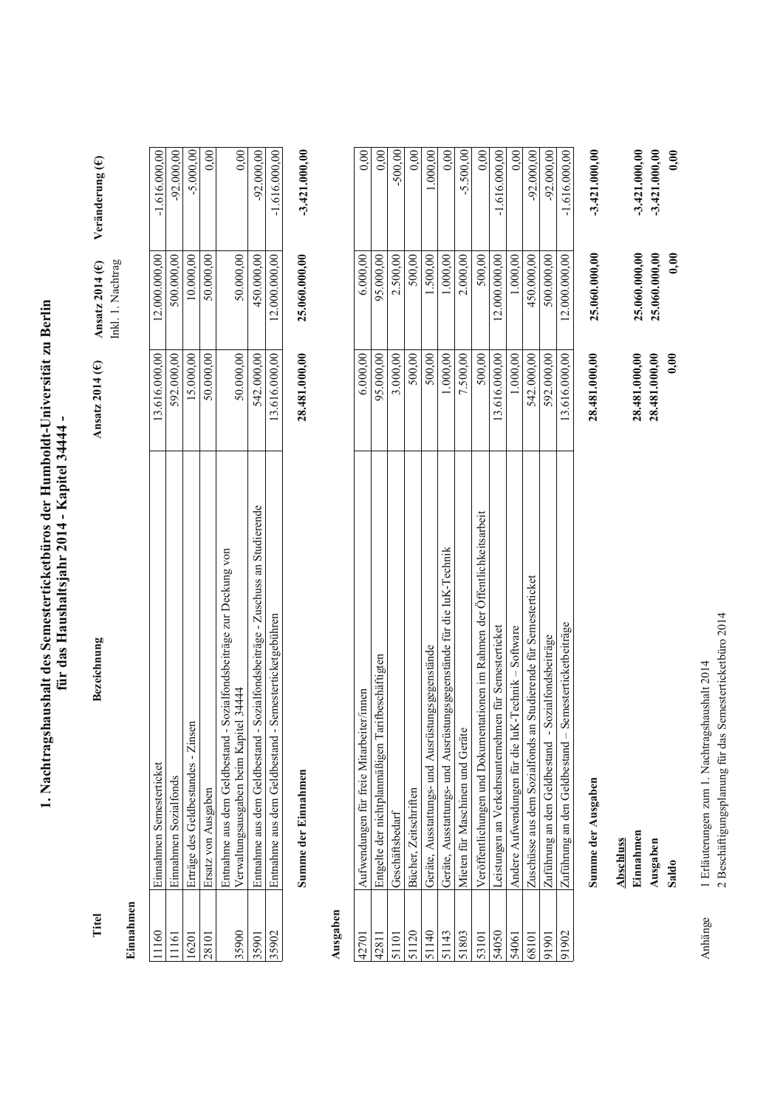1. Nachtragshaushalt des Semesterticketbüros der Humboldt-Universität zu Berlin für das Haushaltsjahr 2014 - Kapitel 34444 -

Titel

Bezeichnung

Veränderung  $(\in)$ Ansatz 2014 (E) Inkl. 1. Nachtrag Ansatz 2014 $(E)$ 

# Einnahmen

| 1160     | Einnahmen Semesterticket                                                                                       | 13.616.000,00 | 12.000.000,00 | $-1.616.000,000$ |
|----------|----------------------------------------------------------------------------------------------------------------|---------------|---------------|------------------|
| $^{161}$ | Einnahmen Sozialfonds                                                                                          | 592.000,00    | 500.000,00    | $-92.000,00$     |
| 16201    | Erträge des Geldbestandes - Zinsen                                                                             | 15.000,00     | 10.000,00     | $-5.000,00$      |
| 28101    | irsatz von Ausgaben                                                                                            | 50.000,00     | 50.000,00     | 0.00             |
| 35900    | -Sozialfondsbeiträge zur Deckung von<br>/erwaltungsausgaben beim Kapitel 34444<br>Entnahme aus dem Geldbestand | 50.000,00     | 50.000,00     | $\frac{0.00}{0}$ |
| 35901    | - Sozialfondsbeiträge - Zuschuss an Studierende<br>Entnahme aus dem Geldbestand                                | 542.000,00    | 450.000,00    | $-92.000,00$     |
| 35902    | - Semesterticketgebühren<br>Entnahme aus dem Geldbestand                                                       | 13.616.000,00 | 12.000.000,00 | $-1.616.000,00$  |

 $-3.421.000,00$ 

25.060.000,00

28.481.000,00

# Ausgaben

Summe der Einnahmen

| 42701           | Aufwendungen für freie Mitarbeiter/innen                                   | 6.000,00      | 6.000,00      | 0.00            |
|-----------------|----------------------------------------------------------------------------|---------------|---------------|-----------------|
| 42811           | Entgelte der nichtplanmäßigen Tarifbeschäftigten                           | 95.000,00     | 95.000,00     | 0.00            |
|                 | Geschäftsbedarf                                                            | 3.000,00      | 2.500,00      | $-500,00$       |
| $\overline{20}$ | Bücher, Zeitschriften                                                      | 500,00        | 500,00        | 0,00            |
| $\frac{140}{5}$ | Geräte, Ausstattungs- und Ausrüstungsgegenstände                           | 500,00        | 1.500,00      | 1.000,00        |
| 143             | Geräte, Ausstattungs- und Ausrüstungsgegenstände für die IuK-Technik       | 1.000,00      | 1.000,00      | 0,00            |
| 51803           | Mieten für Maschinen und Geräte                                            | 7.500,00      | 2.000,00      | $-5.500.00$     |
| 53101           | Veröffentlichungen und Dokumentationen im Rahmen der Öffentlichkeitsarbeit | 500,00        | 500,00        | 0.00            |
| 54050           | Leistungen an Verkehrsunternehmen für Semesterticket                       | 13.616.000,00 | 12.000.000,00 | $-1.616,000.00$ |
| 54061           | Andere Aufwendungen für die IuK-Technik - Software                         | 1.000,00      | 1.000,00      | 0.00            |
| 68101           | Zuschüsse aus dem Sozialfonds an Studierende für Semesterticket            | 542.000,00    | 450.000,00    | $-92.000.00$    |
| 1901            | Sozialfondsbeiträge<br>Zuführung an den Geldbestand                        | 592.000,00    | 500.000,00    | $-92.000,00$    |
| 1902            | Semesterticketbeiträge<br>Zuführung an den Geldbestand -                   | 13.616.000,00 | 12.000.000,00 | $-1.616.000.00$ |
|                 | Summe der Ausgaben                                                         | 28.481.000,00 | 25.060.000,00 | $-3.421.000,00$ |
|                 | Abschluss                                                                  |               |               |                 |

25.060.000,00  $0,00$ 28.481.000,00 Ausgaben Saldo

 $0,00$ 

 $0,00$ 

 $-3.421.000,00$  $-3.421.000,00$ 

25.060.000,00

28.481.000,00

1 Erläuterungen zum 1. Nachtragshaushalt 2014 Anhänge

Einnahmen

2 Beschäftigungsplanung für das Semesterticketbüro 2014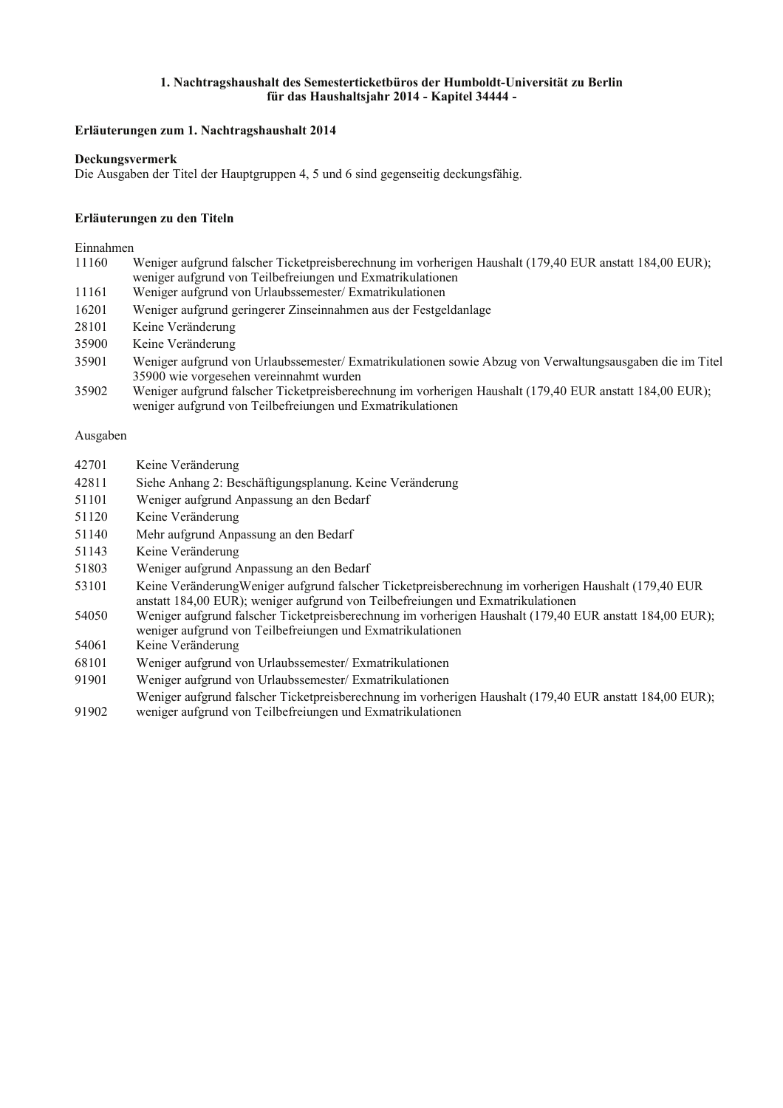#### 1. Nachtragshaushalt des Semesterticketbüros der Humboldt-Universität zu Berlin für das Haushaltsjahr 2014 - Kapitel 34444 -

#### Erläuterungen zum 1. Nachtragshaushalt 2014

#### Deckungsvermerk

Die Ausgaben der Titel der Hauptgruppen 4, 5 und 6 sind gegenseitig deckungsfähig.

#### Erläuterungen zu den Titeln

#### Einnahmen

- Weniger aufgrund falscher Ticketpreisberechnung im vorherigen Haushalt (179,40 EUR anstatt 184,00 EUR); 11160 weniger aufgrund von Teilbefreiungen und Exmatrikulationen 11161 Weniger aufgrund von Urlaubssemester/ Exmatrikulationen Weniger aufgrund geringerer Zinseinnahmen aus der Festgeldanlage 16201 28101 Keine Veränderung 35900 Keine Veränderung 35901
- Weniger aufgrund von Urlaubssemester/ Exmatrikulationen sowie Abzug von Verwaltungsausgaben die im Titel 35900 wie vorgesehen vereinnahmt wurden
- Weniger aufgrund falscher Ticketpreisberechnung im vorherigen Haushalt (179,40 EUR anstatt 184,00 EUR); 35902 weniger aufgrund von Teilbefreiungen und Exmatrikulationen

#### Ausgaben

| Keine Veränderung |
|-------------------|

- 42811 Siehe Anhang 2: Beschäftigungsplanung. Keine Veränderung
- 51101 Weniger aufgrund Anpassung an den Bedarf
- 51120 Keine Veränderung
- 51140 Mehr aufgrund Anpassung an den Bedarf
- Keine Veränderung 51143
- 51803 Weniger aufgrund Anpassung an den Bedarf
- 53101 Keine Veränderung Weniger aufgrund falscher Ticketpreisberechnung im vorherigen Haushalt (179,40 EUR anstatt 184.00 EUR): weniger aufgrund von Teilbefreiungen und Exmatrikulationen
- 54050 Weniger aufgrund falscher Ticketpreisberechnung im vorherigen Haushalt (179,40 EUR anstatt 184,00 EUR); weniger aufgrund von Teilbefreiungen und Exmatrikulationen
- 54061 Keine Veränderung
- 68101 Weniger aufgrund von Urlaubssemester/Exmatrikulationen
- Weniger aufgrund von Urlaubssemester/ Exmatrikulationen 91901
- Weniger aufgrund falscher Ticketpreisberechnung im vorherigen Haushalt (179,40 EUR anstatt 184,00 EUR); 91902 weniger aufgrund von Teilbefreiungen und Exmatrikulationen